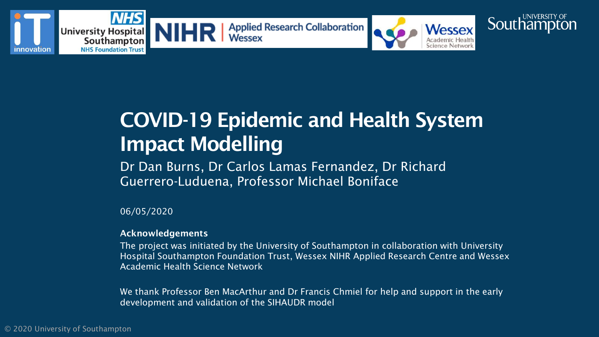





Sout

# COVID-19 Epidemic and Health System Impact Modelling

Dr Dan Burns, Dr Carlos Lamas Fernandez, Dr Richard Guerrero-Luduena, Professor Michael Boniface

06/05/2020

#### Acknowledgements

The project was initiated by the University of Southampton in collaboration with University Hospital Southampton Foundation Trust, Wessex NIHR Applied Research Centre and Wessex Academic Health Science Network

We thank Professor Ben MacArthur and Dr Francis Chmiel for help and support in the early development and validation of the SIHAUDR model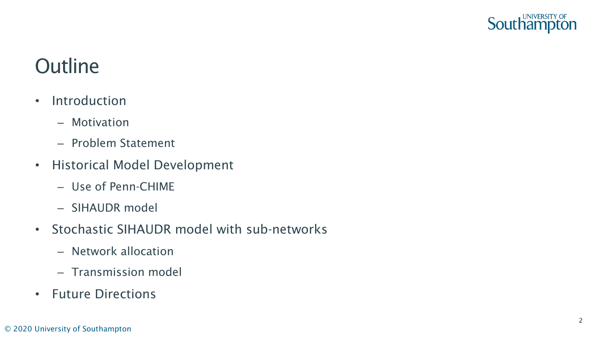

### **Outline**

- Introduction
	- Motivation
	- Problem Statement
- Historical Model Development
	- Use of Penn-CHIME
	- SIHAUDR model
- Stochastic SIHAUDR model with sub-networks
	- Network allocation
	- Transmission model
- Future Directions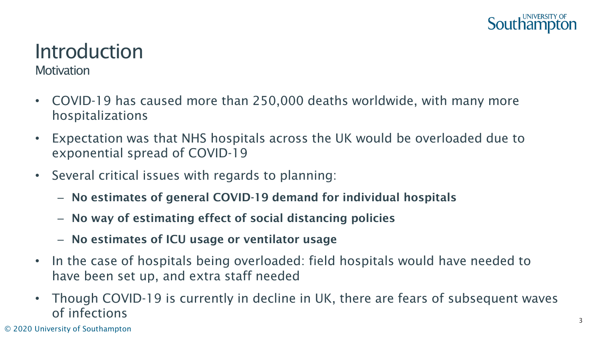

## **Introduction**

**Motivation** 

- COVID-19 has caused more than 250,000 deaths worldwide, with many more hospitalizations
- Expectation was that NHS hospitals across the UK would be overloaded due to exponential spread of COVID-19
- Several critical issues with regards to planning:
	- No estimates of general COVID-19 demand for individual hospitals
	- No way of estimating effect of social distancing policies
	- No estimates of ICU usage or ventilator usage
- In the case of hospitals being overloaded: field hospitals would have needed to have been set up, and extra staff needed
- Though COVID-19 is currently in decline in UK, there are fears of subsequent waves of infections

© 2020 University of Southampton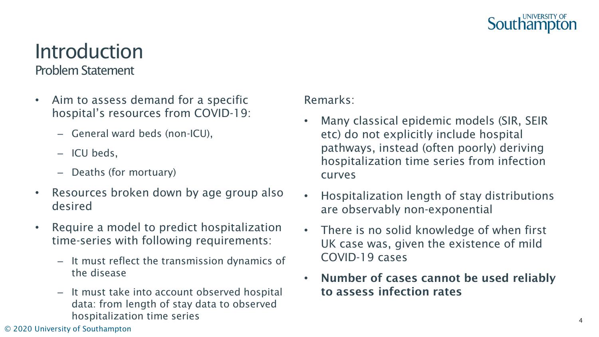

### **Introduction** Problem Statement

- Aim to assess demand for a specific hospital's resources from COVID-19:
	- General ward beds (non-ICU),
	- ICU beds,
	- Deaths (for mortuary)
- Resources broken down by age group also desired
- Require a model to predict hospitalization time-series with following requirements:
	- It must reflect the transmission dynamics of the disease
	- It must take into account observed hospital data: from length of stay data to observed hospitalization time series

#### Remarks:

- Many classical epidemic models (SIR, SEIR etc) do not explicitly include hospital pathways, instead (often poorly) deriving hospitalization time series from infection curves
- Hospitalization length of stay distributions are observably non-exponential
- There is no solid knowledge of when first UK case was, given the existence of mild COVID-19 cases
- Number of cases cannot be used reliably to assess infection rates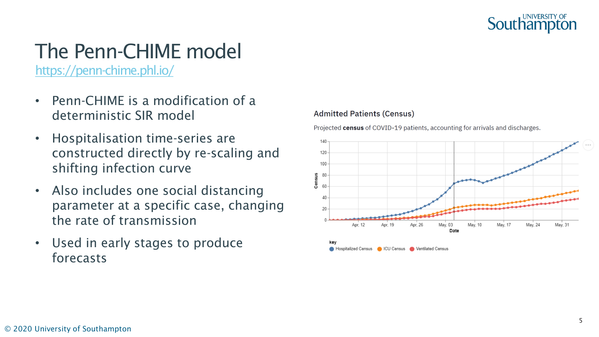

## The Penn-CHIME model

https://penn [-chime.phl.io/](https://penn-chime.phl.io/)

- Penn -CHIME is a modification of a deterministic SIR model
- Hospitalisation time -series are constructed directly by re -scaling and shifting infection curve
- Also includes one social distancing parameter at a specific case, changing the rate of transmission
- Used in early stages to produce forecasts

#### **Admitted Patients (Census)**

Projected census of COVID-19 patients, accounting for arrivals and discharges.



A Hospitalized Census A ICU Census A Ventilated Census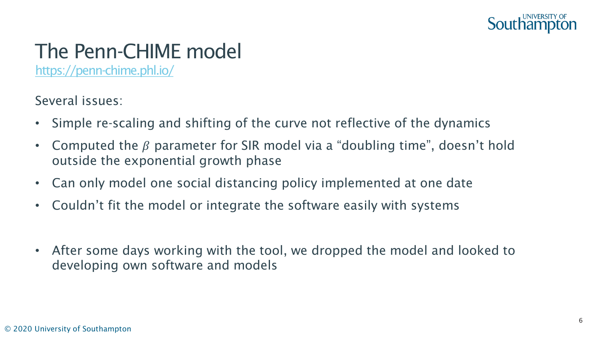

## The Penn-CHIME model

<https://penn-chime.phl.io/>

Several issues:

- Simple re-scaling and shifting of the curve not reflective of the dynamics
- Computed the  $\beta$  parameter for SIR model via a "doubling time", doesn't hold outside the exponential growth phase
- Can only model one social distancing policy implemented at one date
- Couldn't fit the model or integrate the software easily with systems
- After some days working with the tool, we dropped the model and looked to developing own software and models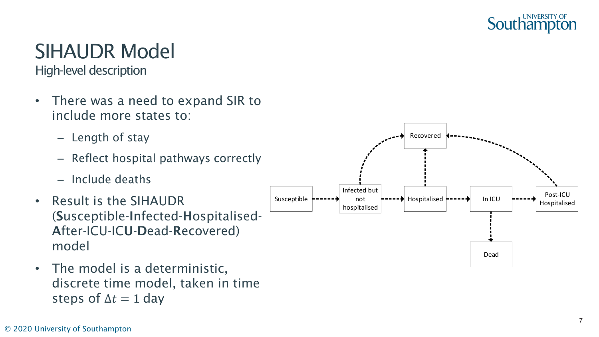

High -level description

- There was a need to expand SIR to include more states to:
	- Length of stay
	- Reflect hospital pathways correctly
	- Include deaths
- Result is the SIHAUDR<br>(Susceptible-Infected-Hospitalised-After-ICU-IC**U-D**ead-Recovered) model
- The model is a deterministic, discrete time model, taken in time steps of  $\Delta t = 1$  day

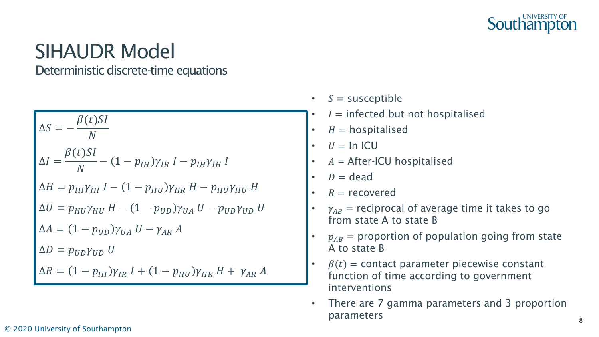

Deterministic discrete-time equations

 $\Delta S = \beta(t)$ SI  $\overline{N}$  $\Delta I =$  $\beta(t)$ SI  $\overline{N}$  $-(1-p_{IH})\gamma_{IR}$  I  $-p_{IH}\gamma_{IH}$  I  $\Delta H = p_{IH} \gamma_{IH} I - (1 - p_{HU}) \gamma_{HR} H - p_{HU} \gamma_{HU} H$  $\Delta U = p_{HU}\gamma_{HU} H - (1 - p_{UD})\gamma_{UA} U - p_{UD}\gamma_{UD} U$  $\Delta A = (1 - p_{UD}) \gamma_{UA} U - \gamma_{AR} A$  $\Delta D = p_{UD} \gamma_{UD} U$  $\Delta R = (1 - p_{IH}) \gamma_{IR} I + (1 - p_{HU}) \gamma_{HR} H + \gamma_{AR} A$ 

- $S =$  susceptible
- $I =$  infected but not hospitalised
- $H =$  hospitalised
- $U = \ln |C|$
- $A =$  After-ICU hospitalised
- $D =$  dead
- $R =$  recovered
- $v_{AB}$  = reciprocal of average time it takes to go from state A to state B
- $p_{AB}$  = proportion of population going from state A to state B
- $\beta(t)$  = contact parameter piecewise constant function of time according to government interventions
- There are 7 gamma parameters and 3 proportion parameters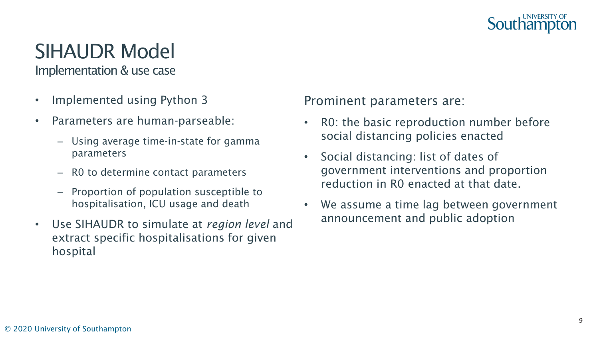

Implementation & use case

- Implemented using Python 3
- Parameters are human-parseable:
	- Using average time-in-state for gamma parameters
	- R0 to determine contact parameters
	- Proportion of population susceptible to hospitalisation, ICU usage and death
- Use SIHAUDR to simulate at *region level* and extract specific hospitalisations for given hospital

Prominent parameters are:

- RO: the basic reproduction number before social distancing policies enacted
- Social distancing: list of dates of government interventions and proportion reduction in R0 enacted at that date.
- We assume a time lag between government announcement and public adoption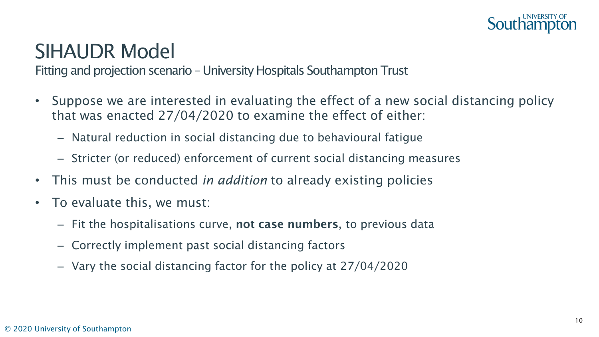

- Suppose we are interested in evaluating the effect of a new social distancing policy that was enacted 27/04/2020 to examine the effect of either:
	- Natural reduction in social distancing due to behavioural fatigue
	- Stricter (or reduced) enforcement of current social distancing measures
- This must be conducted *in addition* to already existing policies
- To evaluate this, we must:
	- Fit the hospitalisations curve, not case numbers, to previous data
	- Correctly implement past social distancing factors
	- Vary the social distancing factor for the policy at 27/04/2020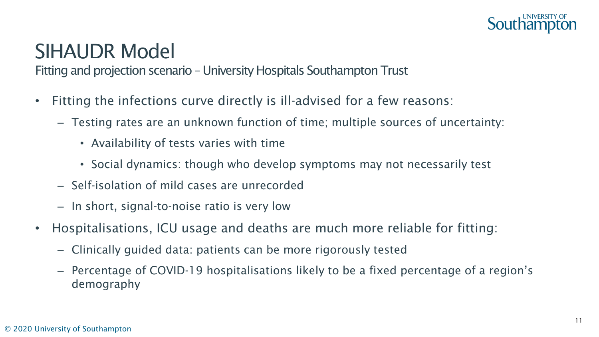

- Fitting the infections curve directly is ill-advised for a few reasons:
	- Testing rates are an unknown function of time; multiple sources of uncertainty:
		- Availability of tests varies with time
		- Social dynamics: though who develop symptoms may not necessarily test
	- Self-isolation of mild cases are unrecorded
	- In short, signal-to-noise ratio is very low
- Hospitalisations, ICU usage and deaths are much more reliable for fitting:
	- Clinically guided data: patients can be more rigorously tested
	- Percentage of COVID-19 hospitalisations likely to be a fixed percentage of a region's demography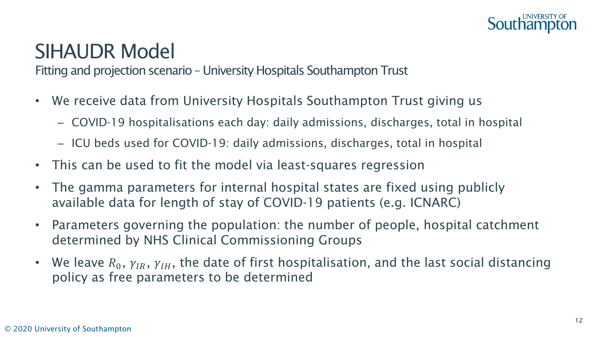

- We receive data from University Hospitals Southampton Trust giving us
	- COVID-19 hospitalisations each day: daily admissions, discharges, total in hospital
	- ICU beds used for COVID-19: daily admissions, discharges, total in hospital
- This can be used to fit the model via least-squares regression
- The gamma parameters for internal hospital states are fixed using publicly available data for length of stay of COVID-19 patients (e.g. ICNARC)
- Parameters governing the population: the number of people, hospital catchment determined by NHS Clinical Commissioning Groups
- We leave  $R_0$ ,  $\gamma_{IR}$ ,  $\gamma_{IH}$ , the date of first hospitalisation, and the last social distancing policy as free parameters to be determined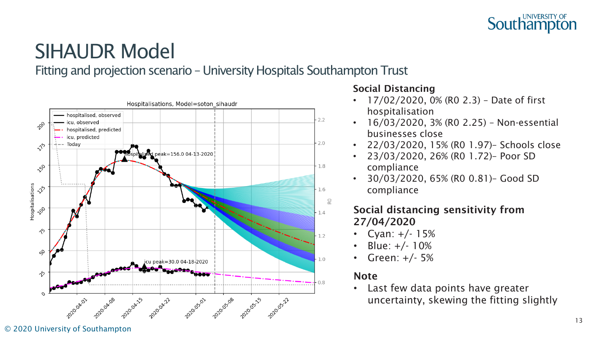

Fitting and projection scenario – University Hospitals Southampton Trust



#### Social Distancing

- 17/02/2020, 0% (R0 2.3) Date of first hospitalisation
- 16/03/2020, 3% (R0 2.25) Non-essential businesses close
- 22/03/2020, 15% (R0 1.97)– Schools close
- 23/03/2020, 26% (R0 1.72)– Poor SD compliance
- 30/03/2020, 65% (R0 0.81)– Good SD compliance

#### Social distancing sensitivity from 27/04/2020

- Cyan:  $+/- 15%$
- Blue:  $+/- 10%$
- Green:  $+/- 5%$

#### Note

• Last few data points have greater uncertainty, skewing the fitting slightly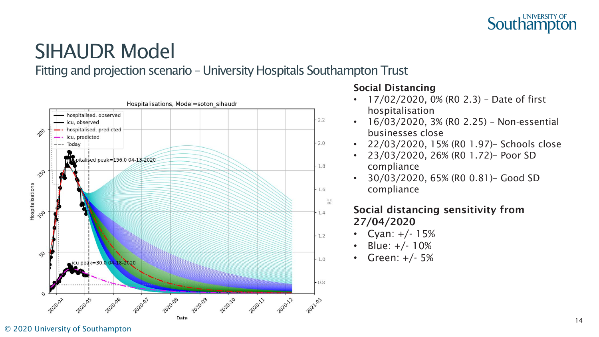

Fitting and projection scenario – University Hospitals Southampton Trust



Social Distancing

- 17/02/2020, 0% (R0 2.3) Date of first hospitalisation
- 16/03/2020, 3% (R0 2.25) Non-essential businesses close
- 22/03/2020, 15% (R0 1.97)– Schools close
- 23/03/2020, 26% (R0 1.72)– Poor SD compliance
- 30/03/2020, 65% (R0 0.81)– Good SD compliance

#### Social distancing sensitivity from 27/04/2020

- Cyan:  $+/- 15%$ 
	- Blue:  $+/- 10\%$
- Green:  $+/- 5%$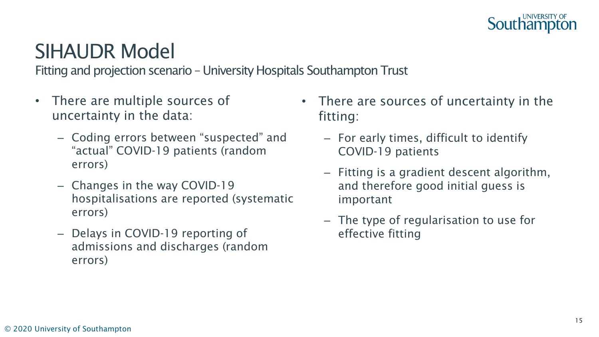

- There are multiple sources of uncertainty in the data:
	- Coding errors between "suspected" and "actual" COVID-19 patients (random errors)
	- Changes in the way COVID-19 hospitalisations are reported (systematic errors)
	- Delays in COVID-19 reporting of admissions and discharges (random errors)
- There are sources of uncertainty in the fitting:
	- For early times, difficult to identify COVID-19 patients
	- Fitting is a gradient descent algorithm, and therefore good initial guess is important
	- The type of regularisation to use for effective fitting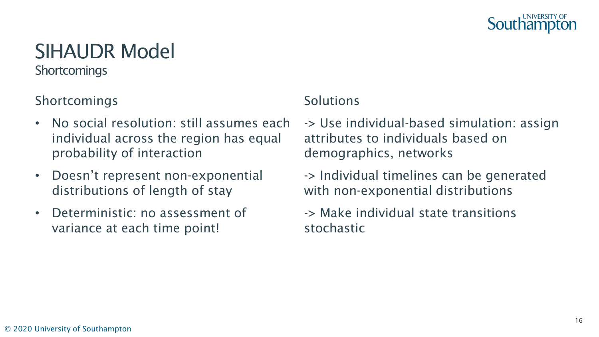

**Shortcomings** 

Shortcomings

- No social resolution: still assumes each individual across the region has equal probability of interaction
- Doesn't represent non-exponential distributions of length of stay
- Deterministic: no assessment of variance at each time point!

### **Solutions**

-> Use individual-based simulation: assign attributes to individuals based on demographics, networks

-> Individual timelines can be generated with non-exponential distributions

-> Make individual state transitions stochastic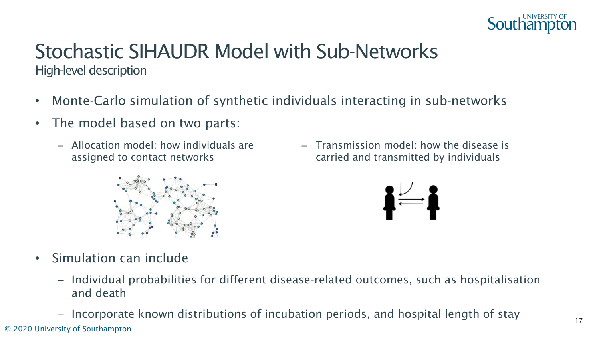

# Stochastic SIHAUDR Model with Sub-Networks

High-level description

- Monte-Carlo simulation of synthetic individuals interacting in sub-networks
- The model based on two parts:
	- Allocation model: how individuals are assigned to contact networks
		-

– Transmission model: how the disease is carried and transmitted by individuals



- Simulation can include
	- Individual probabilities for different disease-related outcomes, such as hospitalisation and death
	- Incorporate known distributions of incubation periods, and hospital length of stay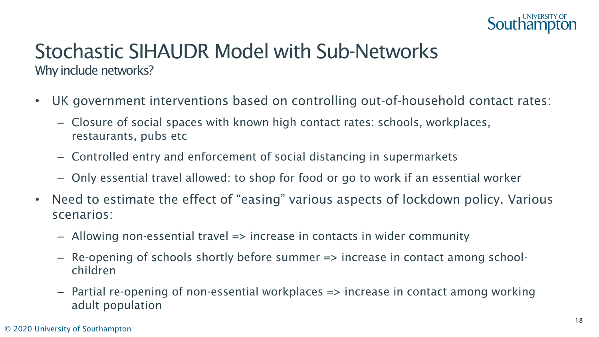

# Stochastic SIHAUDR Model with Sub-Networks

Why include networks?

- UK government interventions based on controlling out-of-household contact rates:
	- Closure of social spaces with known high contact rates: schools, workplaces, restaurants, pubs etc
	- Controlled entry and enforcement of social distancing in supermarkets
	- Only essential travel allowed: to shop for food or go to work if an essential worker
- Need to estimate the effect of "easing" various aspects of lockdown policy. Various scenarios:
	- Allowing non-essential travel => increase in contacts in wider community
	- Re-opening of schools shortly before summer => increase in contact among schoolchildren
	- Partial re-opening of non-essential workplaces => increase in contact among working adult population

#### © 2020 University of Southampton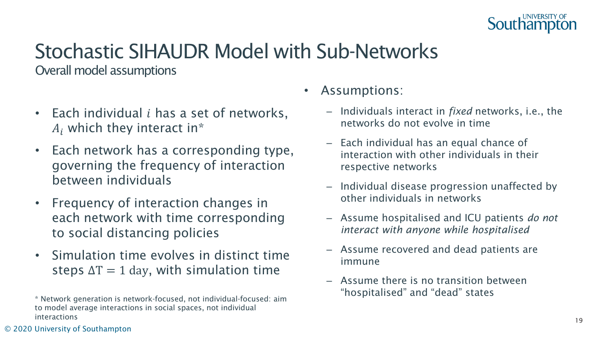

### Stochastic SIHAUDR Model with Sub-Networks

Overall model assumptions

- Each individual  $i$  has a set of networks,  $A_i$  which they interact in\*
- Each network has a corresponding type, governing the frequency of interaction between individuals
- Frequency of interaction changes in each network with time corresponding to social distancing policies
- Simulation time evolves in distinct time steps  $\Delta T = 1$  day, with simulation time
- Assumptions:
	- Individuals interact in *fixed* networks, i.e., the networks do not evolve in time
	- Each individual has an equal chance of interaction with other individuals in their respective networks
	- Individual disease progression unaffected by other individuals in networks
	- Assume hospitalised and ICU patients *do not interact with anyone while hospitalised*
	- Assume recovered and dead patients are immune
- Assume there is no transition between "hospitalised" and "dead" states \* Network generation is network-focused, not individual-focused: aim

to model average interactions in social spaces, not individual interactions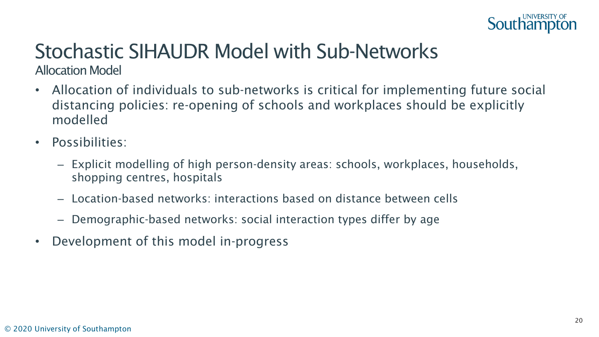

### Stochastic SIHAUDR Model with Sub-Networks Allocation Model

- Allocation of individuals to sub-networks is critical for implementing future social distancing policies: re-opening of schools and workplaces should be explicitly modelled
- Possibilities:
	- Explicit modelling of high person-density areas: schools, workplaces, households, shopping centres, hospitals
	- Location-based networks: interactions based on distance between cells
	- Demographic-based networks: social interaction types differ by age
- Development of this model in-progress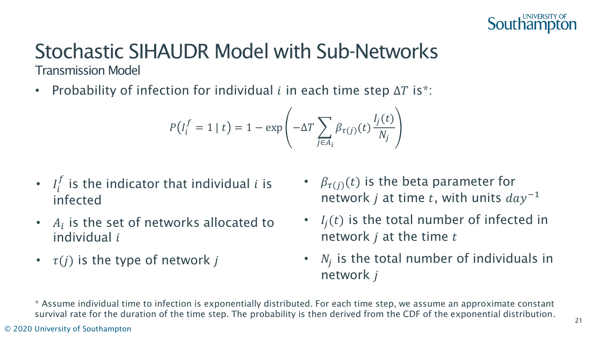

### Stochastic SIHAUDR Model with Sub-Networks Transmission Model

• Probability of infection for individual *i* in each time step  $\Delta T$  is\*:

$$
P(I_i^f = 1 | t) = 1 - \exp\left(-\Delta T \sum_{j \in A_i} \beta_{\tau(j)}(t) \frac{I_j(t)}{N_j}\right)
$$

- $I_i'$  $i$  is the indicator that individual i is infected
- $A_i$  is the set of networks allocated to individual
- $\tau(j)$  is the type of network j
- $\beta_{\tau(i)}(t)$  is the beta parameter for network *j* at time *t*, with units  $day^{-1}$
- $I_i(t)$  is the total number of infected in network  $j$  at the time  $t$
- $N_j$  is the total number of individuals in network j

\* Assume individual time to infection is exponentially distributed. For each time step, we assume an approximate constant survival rate for the duration of the time step. The probability is then derived from the CDF of the exponential distribution.

© 2020 University of Southampton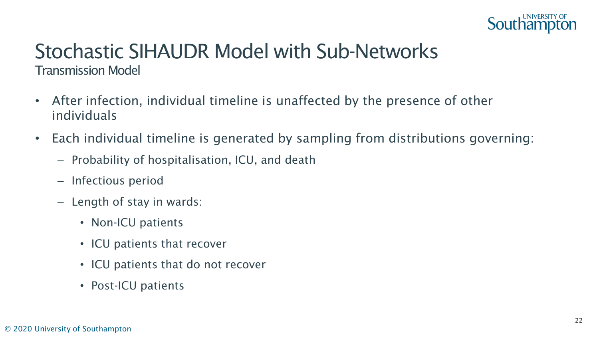

### Stochastic SIHAUDR Model with Sub-Networks Transmission Model

- After infection, individual timeline is unaffected by the presence of other individuals
- Each individual timeline is generated by sampling from distributions governing:
	- Probability of hospitalisation, ICU, and death
	- Infectious period
	- Length of stay in wards:
		- Non-ICU patients
		- ICU patients that recover
		- ICU patients that do not recover
		- Post-ICU patients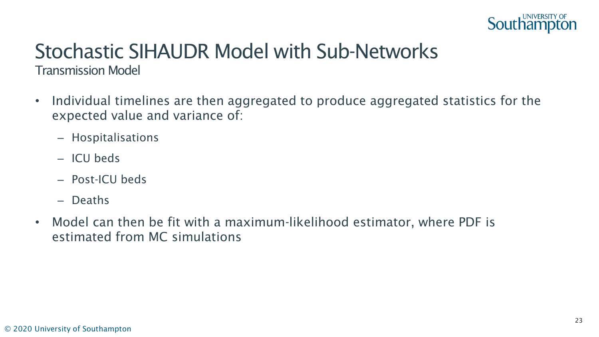

### Stochastic SIHAUDR Model with Sub-Networks Transmission Model

- Individual timelines are then aggregated to produce aggregated statistics for the expected value and variance of:
	- Hospitalisations
	- ICU beds
	- Post-ICU beds
	- Deaths
- Model can then be fit with a maximum-likelihood estimator, where PDF is estimated from MC simulations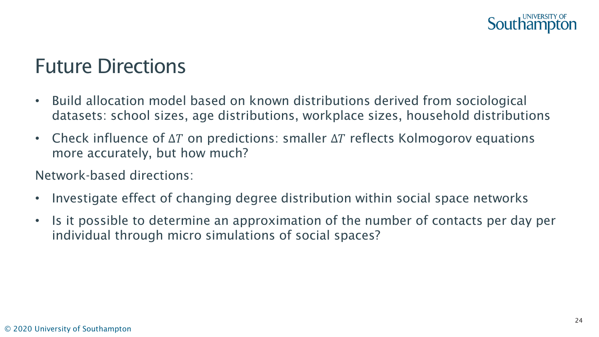

### Future Directions

- Build allocation model based on known distributions derived from sociological datasets: school sizes, age distributions, workplace sizes, household distributions
- Check influence of  $\Delta T$  on predictions: smaller  $\Delta T$  reflects Kolmogorov equations more accurately, but how much?

Network-based directions:

- Investigate effect of changing degree distribution within social space networks
- Is it possible to determine an approximation of the number of contacts per day per individual through micro simulations of social spaces?